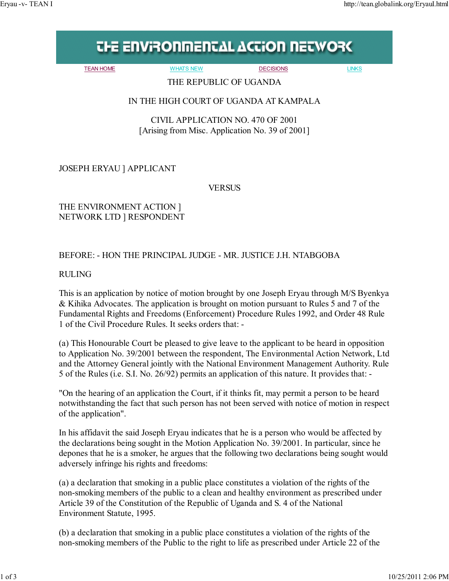## **THE ENVIRONMENTAL ACTION NETWORK**

TEAN HOME WHATS NEW DECISIONS LINKS

THE REPUBLIC OF UGANDA

## IN THE HIGH COURT OF UGANDA AT KAMPALA

CIVIL APPLICATION NO. 470 OF 2001 [Arising from Misc. Application No. 39 of 2001]

JOSEPH ERYAU ] APPLICANT

**VERSUS** 

THE ENVIRONMENT ACTION ] NETWORK LTD ] RESPONDENT

## BEFORE: - HON THE PRINCIPAL JUDGE - MR. JUSTICE J.H. NTABGOBA

RULING

This is an application by notice of motion brought by one Joseph Eryau through M/S Byenkya & Kihika Advocates. The application is brought on motion pursuant to Rules 5 and 7 of the Fundamental Rights and Freedoms (Enforcement) Procedure Rules 1992, and Order 48 Rule 1 of the Civil Procedure Rules. It seeks orders that: -

(a) This Honourable Court be pleased to give leave to the applicant to be heard in opposition to Application No. 39/2001 between the respondent, The Environmental Action Network, Ltd and the Attorney General jointly with the National Environment Management Authority. Rule 5 of the Rules (i.e. S.I. No. 26/92) permits an application of this nature. It provides that: -

"On the hearing of an application the Court, if it thinks fit, may permit a person to be heard notwithstanding the fact that such person has not been served with notice of motion in respect of the application".

In his affidavit the said Joseph Eryau indicates that he is a person who would be affected by the declarations being sought in the Motion Application No. 39/2001. In particular, since he depones that he is a smoker, he argues that the following two declarations being sought would adversely infringe his rights and freedoms:

(a) a declaration that smoking in a public place constitutes a violation of the rights of the non-smoking members of the public to a clean and healthy environment as prescribed under Article 39 of the Constitution of the Republic of Uganda and S. 4 of the National Environment Statute, 1995.

(b) a declaration that smoking in a public place constitutes a violation of the rights of the non-smoking members of the Public to the right to life as prescribed under Article 22 of the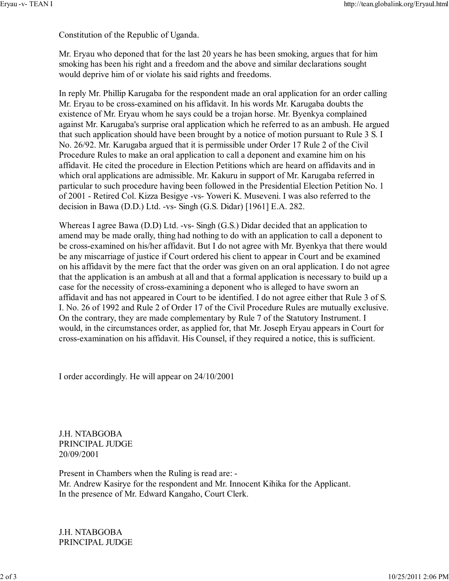Constitution of the Republic of Uganda.

Mr. Eryau who deponed that for the last 20 years he has been smoking, argues that for him smoking has been his right and a freedom and the above and similar declarations sought would deprive him of or violate his said rights and freedoms.

In reply Mr. Phillip Karugaba for the respondent made an oral application for an order calling Mr. Eryau to be cross-examined on his affidavit. In his words Mr. Karugaba doubts the existence of Mr. Eryau whom he says could be a trojan horse. Mr. Byenkya complained against Mr. Karugaba's surprise oral application which he referred to as an ambush. He argued that such application should have been brought by a notice of motion pursuant to Rule 3 S. I No. 26/92. Mr. Karugaba argued that it is permissible under Order 17 Rule 2 of the Civil Procedure Rules to make an oral application to call a deponent and examine him on his affidavit. He cited the procedure in Election Petitions which are heard on affidavits and in which oral applications are admissible. Mr. Kakuru in support of Mr. Karugaba referred in particular to such procedure having been followed in the Presidential Election Petition No. 1 of 2001 - Retired Col. Kizza Besigye -vs- Yoweri K. Museveni. I was also referred to the decision in Bawa (D.D.) Ltd. -vs- Singh (G.S. Didar) [1961] E.A. 282.

Whereas I agree Bawa (D.D) Ltd. -vs- Singh (G.S.) Didar decided that an application to amend may be made orally, thing had nothing to do with an application to call a deponent to be cross-examined on his/her affidavit. But I do not agree with Mr. Byenkya that there would be any miscarriage of justice if Court ordered his client to appear in Court and be examined on his affidavit by the mere fact that the order was given on an oral application. I do not agree that the application is an ambush at all and that a formal application is necessary to build up a case for the necessity of cross-examining a deponent who is alleged to have sworn an affidavit and has not appeared in Court to be identified. I do not agree either that Rule 3 of S. I. No. 26 of 1992 and Rule 2 of Order 17 of the Civil Procedure Rules are mutually exclusive. On the contrary, they are made complementary by Rule 7 of the Statutory Instrument. I would, in the circumstances order, as applied for, that Mr. Joseph Eryau appears in Court for cross-examination on his affidavit. His Counsel, if they required a notice, this is sufficient.

I order accordingly. He will appear on 24/10/2001

J.H. NTABGOBA PRINCIPAL JUDGE 20/09/2001

Present in Chambers when the Ruling is read are: - Mr. Andrew Kasirye for the respondent and Mr. Innocent Kihika for the Applicant. In the presence of Mr. Edward Kangaho, Court Clerk.

J.H. NTABGOBA PRINCIPAL JUDGE